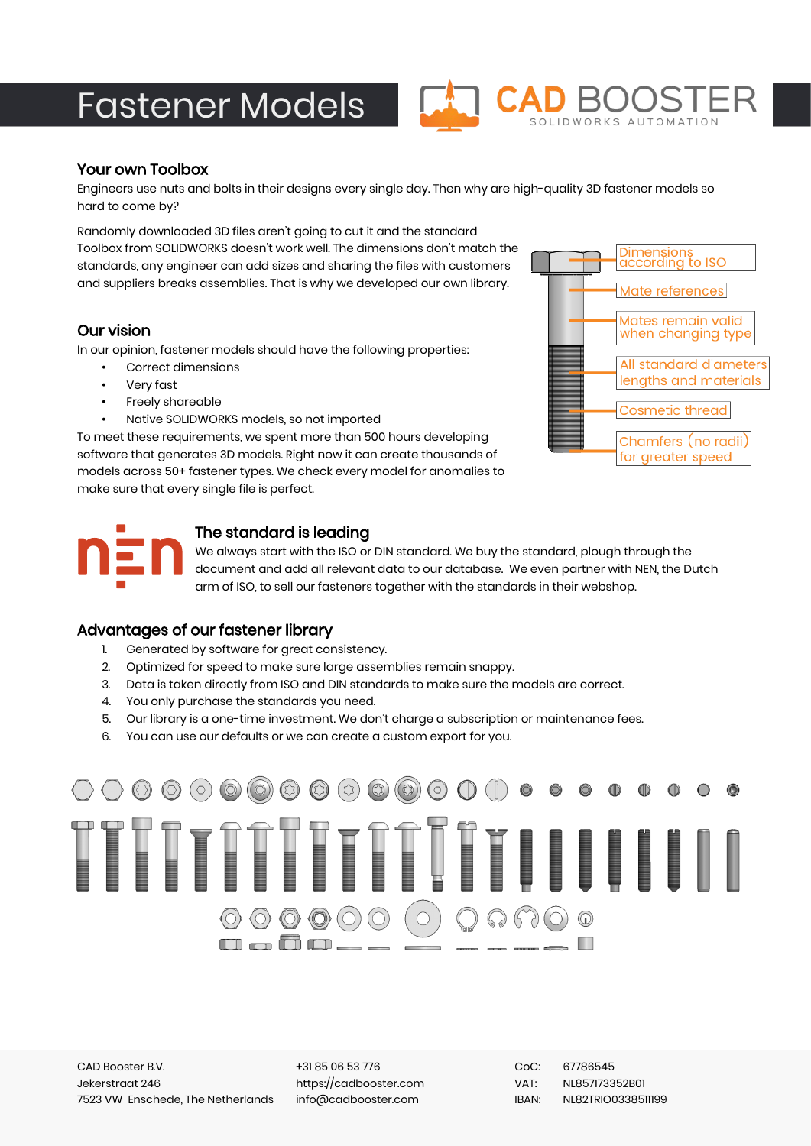# Fastener Models



#### Your own Toolbox

Engineers use nuts and bolts in their designs every single day. Then why are high-quality 3D fastener models so hard to come by?

Randomly downloaded 3D files aren't going to cut it and the standard Toolbox from SOLIDWORKS doesn't work well. The dimensions don't match the standards, any engineer can add sizes and sharing the files with customers and suppliers breaks assemblies. That is why we developed our own library.

#### Our vision

In our opinion, fastener models should have the following properties:

- Correct dimensions
- Very fast
- Freely shareable
- Native SOLIDWORKS models, so not imported

To meet these requirements, we spent more than 500 hours developing software that generates 3D models. Right now it can create thousands of models across 50+ fastener types. We check every model for anomalies to make sure that every single file is perfect.





## The standard is leading

We always start with the ISO or DIN standard. We buy the standard, plough through the document and add all relevant data to our database. We even partner with NEN, the Dutch arm of ISO, to sell our fasteners together with the standards in their webshop.

#### Advantages of our fastener library

- 1. Generated by software for great consistency.
- 2. Optimized for speed to make sure large assemblies remain snappy.
- 3. Data is taken directly from ISO and DIN standards to make sure the models are correct.
- 4. You only purchase the standards you need.
- 5. Our library is a one-time investment. We don't charge a subscription or maintenance fees.
- 6. You can use our defaults or we can create a custom export for you.



+31 85 06 53 776 https://cadbooster.com info@cadbooster.com

CoC: 67786545 VAT: NL857173352B01 IBAN: NL82TRIO0338511199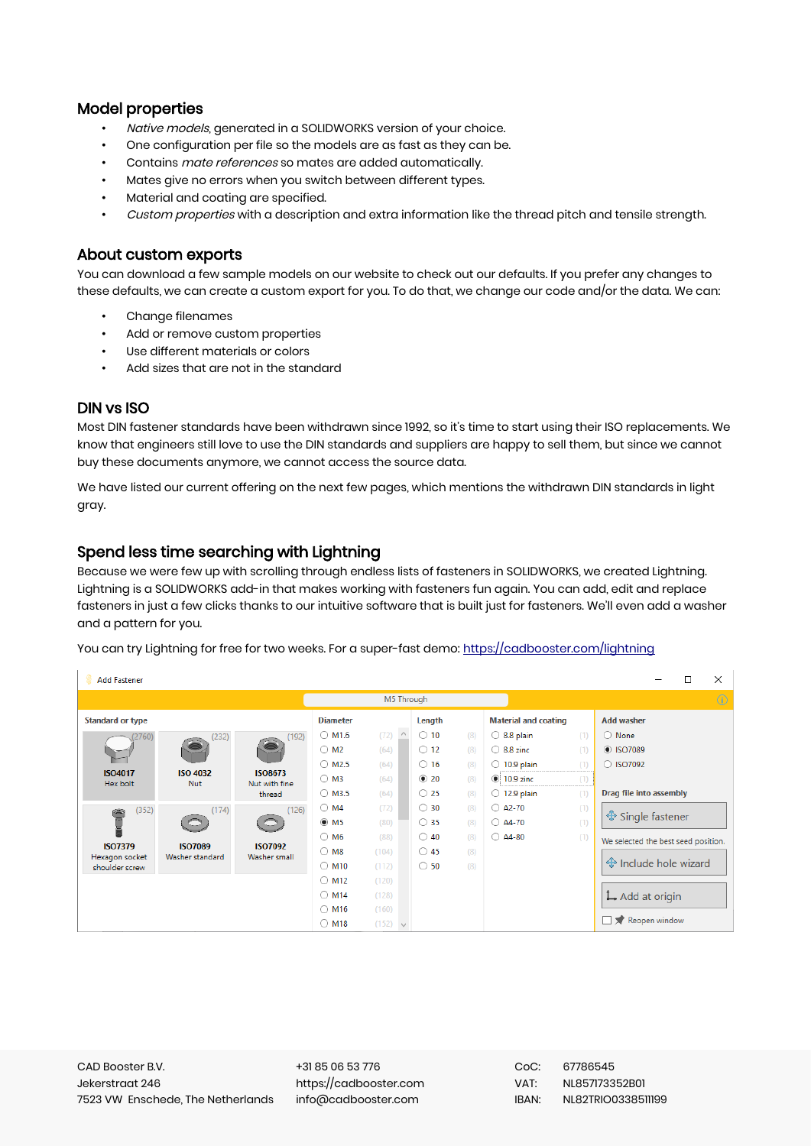### Model properties

- Native models, generated in a SOLIDWORKS version of your choice.
- One configuration per file so the models are as fast as they can be.
- Contains *mate references* so mates are added automatically.
- Mates give no errors when you switch between different types.
- Material and coating are specified.
- Custom properties with a description and extra information like the thread pitch and tensile strength.

#### About custom exports

You can download a few sample models on our website to check out our defaults. If you prefer any changes to these defaults, we can create a custom export for you. To do that, we change our code and/or the data. We can:

- Change filenames
- Add or remove custom properties
- Use different materials or colors
- Add sizes that are not in the standard

#### DIN vs ISO

Most DIN fastener standards have been withdrawn since 1992, so it's time to start using their ISO replacements. We know that engineers still love to use the DIN standards and suppliers are happy to sell them, but since we cannot buy these documents anymore, we cannot access the source data.

We have listed our current offering on the next few pages, which mentions the withdrawn DIN standards in light gray.

#### Spend less time searching with Lightning

Because we were few up with scrolling through endless lists of fasteners in SOLIDWORKS, we created Lightning. Lightning is a SOLIDWORKS add-in that makes working with fasteners fun again. You can add, edit and replace fasteners in just a few clicks thanks to our intuitive software that is built just for fasteners. We'll even add a washer and a pattern for you.

You can try Lightning for free for two weeks. For a super-fast demo: <https://cadbooster.com/lightning>

| <b>Add Fastener</b>              |                                                 |                                                    |                           |                 |               |     |                             |     |                                     |  | $\Box$  | $\times$ |
|----------------------------------|-------------------------------------------------|----------------------------------------------------|---------------------------|-----------------|---------------|-----|-----------------------------|-----|-------------------------------------|--|---------|----------|
|                                  |                                                 | M5 Through                                         |                           |                 |               |     |                             |     |                                     |  | $\odot$ |          |
| <b>Standard or type</b>          |                                                 |                                                    | <b>Diameter</b>           |                 | Length        |     | <b>Material and coating</b> |     | <b>Add washer</b>                   |  |         |          |
|                                  | (232)                                           | (192)                                              | $\bigcirc$ M1.6           | $\land$<br>(72) | $\circ$ 10    | (8) | $\bigcirc$ 8.8 plain        | (1) | $\bigcirc$ None                     |  |         |          |
|                                  |                                                 |                                                    | $\bigcirc$ M <sub>2</sub> | (64)            | $\circ$ 12    | (8) | $\bigcirc$ 8.8 zinc         | (1) | <b>8 ISO7089</b>                    |  |         |          |
|                                  |                                                 | <b>ISO8673</b><br>Nut with fine<br>thread          | $\bigcirc$ M2.5           | (64)            | $\bigcirc$ 16 | (8) | $\bigcirc$ 10.9 plain<br>   | (1) | ◯ ISO7092                           |  |         |          |
| <b>ISO4017</b><br>Hex bolt       | <b>ISO 4032</b><br><b>Nut</b>                   |                                                    | $\bigcirc$ M3             | (64)            | $\odot$ 20    | (8) | $\odot$ : 10.9 zinc<br>     | (1) |                                     |  |         |          |
|                                  |                                                 |                                                    | $\bigcirc$ M3.5           | (64)            | $\bigcirc$ 25 | (8) | $\bigcirc$ 12.9 plain       | (1) | Drag file into assembly             |  |         |          |
| (352)                            | (174)<br>O<br><b>ISO7089</b><br>Washer standard | (126)<br>$\circ$<br><b>ISO7092</b><br>Washer small | $\bigcirc$ M4             | (72)            | $\circ$ 30    | (8) | $\bigcirc$ A2-70            | (1) |                                     |  |         |          |
| $m = 0$                          |                                                 |                                                    | $\odot$ M5                | (80)            | $\bigcirc$ 35 | (8) | $\bigcirc$ A4-70            | (1) | <b>♦ Single fastener</b>            |  |         |          |
|                                  |                                                 |                                                    | $\bigcirc$ M6             | (88)            | $\bigcirc$ 40 | (8) | $\bigcirc$ A4-80            | (1) | We selected the best seed position. |  |         |          |
| <b>ISO7379</b><br>Hexagon socket |                                                 |                                                    | $\bigcirc$ M8             | (104)           | $\bigcirc$ 45 | (8) |                             |     |                                     |  |         |          |
| shoulder screw                   |                                                 |                                                    | $\bigcirc$ M10            | (112)           | $\circ$ 50    | (8) |                             |     | ↔ Include hole wizard               |  |         |          |
|                                  |                                                 |                                                    | $\bigcirc$ M12            | (120)           |               |     |                             |     |                                     |  |         |          |
|                                  |                                                 |                                                    | $\bigcirc$ M14            | (128)           |               |     |                             |     | L Add at origin                     |  |         |          |
|                                  |                                                 |                                                    | $\bigcirc$ M16            | (160)           |               |     |                             |     |                                     |  |         |          |
|                                  |                                                 |                                                    | $\bigcirc$ M18            | $(152)$ $\vee$  |               |     |                             |     | Reopen window                       |  |         |          |

+31 85 06 53 776 https://cadbooster.com info@cadbooster.com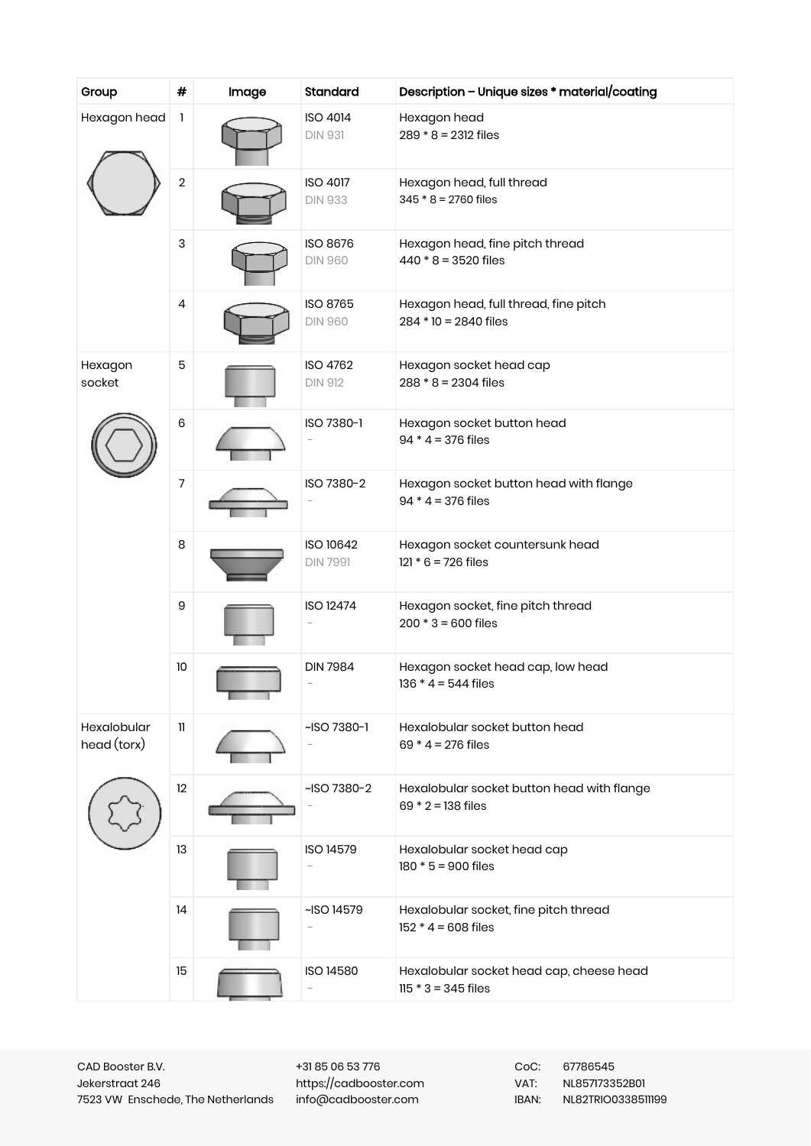| Group                             | #                | Image | Standard                                                  | Description - Unique sizes * material/coating                      |
|-----------------------------------|------------------|-------|-----------------------------------------------------------|--------------------------------------------------------------------|
| Hexagon head                      | 1                |       | <b>ISO 4014</b><br><b>DIN 931</b>                         | Hexagon head<br>$289 * 8 = 2312$ files                             |
|                                   | 2                |       | <b>ISO 4017</b><br><b>DIN 933</b>                         | Hexagon head, full thread<br>$345 * 8 = 2760$ files                |
|                                   | 3                |       | <b>ISO 8676</b><br><b>DIN 960</b>                         | Hexagon head, fine pitch thread<br>$440 * 8 = 3520$ files          |
|                                   | 4                |       | ISO 8765<br><b>DIN 960</b>                                | Hexagon head, full thread, fine pitch<br>$284 * 10 = 2840$ files   |
| Hexagon<br>socket                 | 5                |       | ISO 4762<br><b>DIN 912</b>                                | Hexagon socket head cap<br>$288 * 8 = 2304$ files                  |
|                                   | 6                |       | ISO 7380-1                                                | Hexagon socket button head<br>$94 * 4 = 376$ files                 |
|                                   | 7                |       | ISO 7380-2                                                | Hexagon socket button head with flange<br>$94 * 4 = 376$ files     |
|                                   | 8                |       | ISO 10642<br><b>DIN 7991</b>                              | Hexagon socket countersunk head<br>$121 * 6 = 726$ files           |
|                                   | $\boldsymbol{9}$ |       | <b>ISO 12474</b>                                          | Hexagon socket, fine pitch thread<br>$200 * 3 = 600$ files         |
|                                   | 10               |       | <b>DIN 7984</b>                                           | Hexagon socket head cap, low head<br>$136 * 4 = 544$ files         |
| <b>Hexalobular</b><br>head (torx) | H                |       | $-$ ISO 7380-1                                            | Hexalobular socket button head<br>$69 * 4 = 276$ files             |
|                                   | 12               |       | ~ISO 7380-2                                               | Hexalobular socket button head with flange<br>$69 * 2 = 138$ files |
|                                   | 13               |       | ISO 14579                                                 | Hexalobular socket head cap<br>$180 * 5 = 900$ files               |
|                                   | 14               |       | $~\sim$ ISO 14579                                         | Hexalobular socket, fine pitch thread<br>$152 * 4 = 608$ files     |
|                                   | 15               |       | <b>ISO 14580</b><br>$\hspace{1.0cm} \rule{1.5cm}{0.15cm}$ | Hexalobular socket head cap, cheese head<br>$115 * 3 = 345$ files  |

+31 85 06 53 776 https://cadbooster.com info@cadbooster.com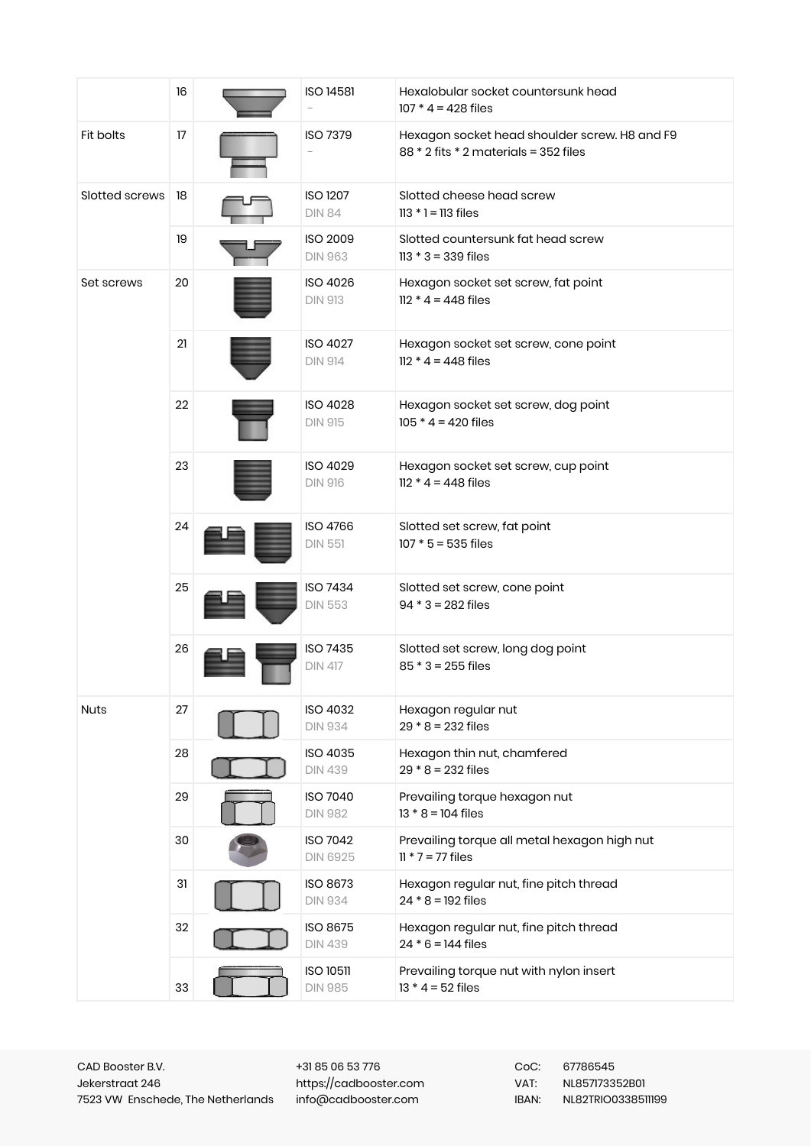|                | 16 | <b>ISO 14581</b>                   | Hexalobular socket countersunk head<br>$107 * 4 = 428$ files                           |
|----------------|----|------------------------------------|----------------------------------------------------------------------------------------|
| Fit bolts      | 17 | <b>ISO 7379</b>                    | Hexagon socket head shoulder screw. H8 and F9<br>88 * 2 fits * 2 materials = 352 files |
| Slotted screws | 18 | <b>ISO 1207</b><br><b>DIN 84</b>   | Slotted cheese head screw<br>$113 * 1 = 113$ files                                     |
|                | 19 | <b>ISO 2009</b><br><b>DIN 963</b>  | Slotted countersunk fat head screw<br>$113 * 3 = 339$ files                            |
| Set screws     | 20 | ISO 4026<br><b>DIN 913</b>         | Hexagon socket set screw, fat point<br>$112 * 4 = 448$ files                           |
|                | 21 | <b>ISO 4027</b><br><b>DIN 914</b>  | Hexagon socket set screw, cone point<br>$112 * 4 = 448$ files                          |
|                | 22 | <b>ISO 4028</b><br><b>DIN 915</b>  | Hexagon socket set screw, dog point<br>$105 * 4 = 420$ files                           |
|                | 23 | <b>ISO 4029</b><br><b>DIN 916</b>  | Hexagon socket set screw, cup point<br>$112 * 4 = 448$ files                           |
|                | 24 | ISO 4766<br><b>DIN 551</b>         | Slotted set screw, fat point<br>$107 * 5 = 535$ files                                  |
|                | 25 | ISO 7434<br><b>DIN 553</b>         | Slotted set screw, cone point<br>$94 * 3 = 282$ files                                  |
|                | 26 | <b>ISO 7435</b><br><b>DIN 417</b>  | Slotted set screw, long dog point<br>$85 * 3 = 255$ files                              |
| <b>Nuts</b>    | 27 | ISO 4032<br><b>DIN 934</b>         | Hexagon regular nut<br>$29 * 8 = 232$ files                                            |
|                | 28 | ISO 4035<br><b>DIN 439</b>         | Hexagon thin nut, chamfered<br>$29 * 8 = 232$ files                                    |
|                | 29 | ISO 7040<br><b>DIN 982</b>         | Prevailing torque hexagon nut<br>$13 * 8 = 104$ files                                  |
|                | 30 | <b>ISO 7042</b><br><b>DIN 6925</b> | Prevailing torque all metal hexagon high nut<br>$11 * 7 = 77$ files                    |
|                | 31 | <b>ISO 8673</b><br><b>DIN 934</b>  | Hexagon regular nut, fine pitch thread<br>$24 * 8 = 192$ files                         |
|                | 32 | ISO 8675<br><b>DIN 439</b>         | Hexagon regular nut, fine pitch thread<br>$24 * 6 = 144$ files                         |
|                | 33 | <b>ISO 10511</b><br><b>DIN 985</b> | Prevailing torque nut with nylon insert<br>$13 * 4 = 52$ files                         |

+31 85 06 53 776 https://cadbooster.com info@cadbooster.com